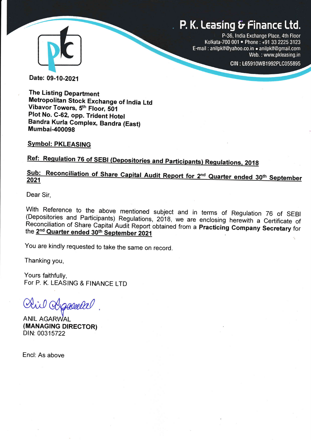# P. K. Leasing & Finance Ltd.



P-36, lndia Exchange Place, 4th Floor Kolkata-700 001 · Phone: +91 33 2225 3123 E-mail : anilpklf@yahoo.co.in . anilpklf@gmail.com Web. : www.pkleasing.in

CIN: L65910WB1992PLC055895

Date: 09-10-2021

The Listing Department Metropolitan Stock Exchange of India Ltd<br>Vibavor Towers, 5<sup>th</sup> Floor, 501 Plot No. C -GZ, opp. Trident Hotel Bandra Kurla complex, Bandra (East) Mumbai-400098

**Symbol: PKLEASING** 

Ref: Regulation 76 of SEBI (Depositories and Participants) Regulations, 2018

# 2021 Sub: Reconciliation of Share Capital Audit Report for 2nd Quarter ended 30th September

Dear Sir,

With Reference to the above mentioned subject and in terms of Regulation 76 of SEBI (Depositories and Participants) Regulations, 2018, we are enclosing herewith a Certificate of Reconciliation of Share Capital Audit Report

You are kindly requested to take the same on record.

Thanking you,

Yours faithfully, For P. K. LEASING & FINANCE LTD

il Chaceela

**ANIL AGARWAL** (MANAGING DIRECTOR) DIN: 00315722

Encl: As above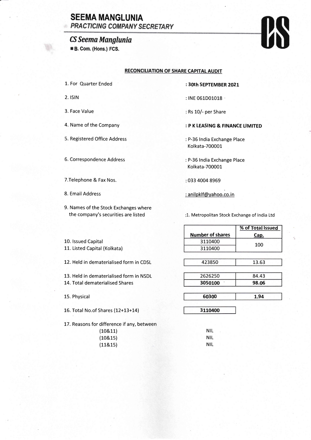### **SEEMA MANGLUNIA PRACTICING COMPANY SECRETARY**

## CS Seema Manglunia

**#B. Com. (Hons.) FCS.** 

# $\boldsymbol{\theta}$

#### RECONCILIATION OF SHARE CAPITAL AUDIT

- 1. For Quarter Ended
- 2. ISIN

Ø.

- 3. Face Value
- 4. Name of the Company
- 5. Registered Office Address
- 6. Correspondence Address
- T.Telephone & Fax Nos.
- 8. Email Address

10. Issued Capital

11. Listed Capital (Kolkata)

9. Names of the Stock Exchanges where the company's securities are listed

12. Held in dematerialised form in CDSL

13. Held in dematerialised form in NSDL

: 30th SEPTEMBER 2O2I

- : INE 061D01018
- : Rs 10/- per Share

### : P K LEASING & FINANCE LIMITED

- : P-36 India Exchange Place Kolkata-700001
- : P-36 lndia Exchange Place Kolkata-700001
- 033 4004 8969
- : anilpklf@yahoo.co.in

3110400

1. Metropolitan Stock Exchange of lndia Ltd

|                         | % of Total Issued |
|-------------------------|-------------------|
| <b>Number of shares</b> | Cap.              |
| 3110400                 | 100               |
| 3110400                 |                   |
|                         |                   |

| 423850 | 13.63 |
|--------|-------|
|        |       |

| 2626250 |         | 84.43 |  |  |
|---------|---------|-------|--|--|
|         | 3050100 | 98.06 |  |  |
|         |         |       |  |  |

60300 1.94

15. Physical

16. Total No.of Shares (L2+13+14)

14. Total dematerialised Shares

17. Reasons for difference if any, between

| (108.11) | <b>NIL</b> |
|----------|------------|
| (108.15) | <b>NIL</b> |
| (118.15) | NIL.       |